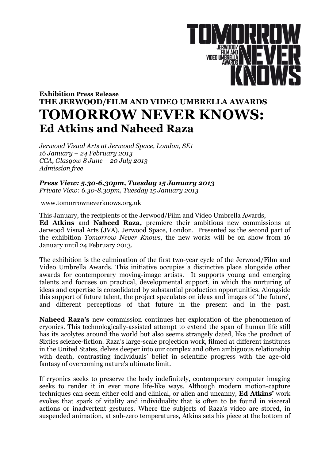

## **Exhibition Press Release THE JERWOOD/FILM AND VIDEO UMBRELLA AWARDS TOMORROW NEVER KNOWS: Ed Atkins and Naheed Raza**

*Jerwood Visual Arts at Jerwood Space, London, SE1 16 January – 24 February 2013 CCA, Glasgow 8 June – 20 July 2013 Admission free*

*Press View: 5.30-6.30pm, Tuesday 15 January 2013 Private View: 6.30-8.30pm, Tuesday 15 January 2013*

www.tomorrowneverknows.org.uk

This January, the recipients of the Jerwood/Film and Video Umbrella Awards, **Ed Atkins** and **Naheed Raza,** premiere their ambitious new commissions at Jerwood Visual Arts (JVA), Jerwood Space, London. Presented as the second part of the exhibition *Tomorrow Never Knows,* the new works will be on show from 16 January until 24 February 2013.

The exhibition is the culmination of the first two-year cycle of the Jerwood/Film and Video Umbrella Awards. This initiative occupies a distinctive place alongside other awards for contemporary moving-image artists. It supports young and emerging talents and focuses on practical, developmental support, in which the nurturing of ideas and expertise is consolidated by substantial production opportunities. Alongside this support of future talent, the project speculates on ideas and images of 'the future', and different perceptions of that future in the present and in the past.

**Naheed Raza's** new commission continues her exploration of the phenomenon of cryonics. This technologically-assisted attempt to extend the span of human life still has its acolytes around the world but also seems strangely dated, like the product of Sixties science-fiction. Raza's large-scale projection work, filmed at different institutes in the United States, delves deeper into our complex and often ambiguous relationship with death, contrasting individuals' belief in scientific progress with the age-old fantasy of overcoming nature's ultimate limit.

If cryonics seeks to preserve the body indefinitely, contemporary computer imaging seeks to render it in ever more life-like ways. Although modern motion-capture techniques can seem either cold and clinical, or alien and uncanny, **Ed Atkins'** work evokes that spark of vitality and individuality that is often to be found in visceral actions or inadvertent gestures. Where the subjects of Raza's video are stored, in suspended animation, at sub-zero temperatures, Atkins sets his piece at the bottom of